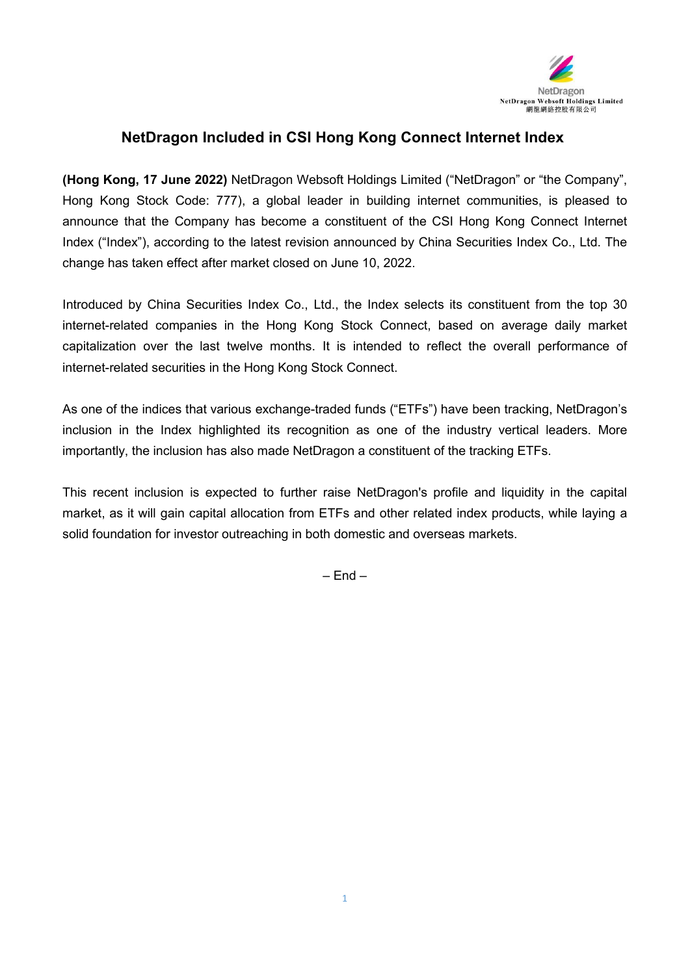

## **NetDragon Included in CSI Hong Kong Connect Internet Index**

**(Hong Kong, 17 June 2022)** NetDragon Websoft Holdings Limited ("NetDragon" or "the Company", Hong Kong Stock Code: 777), a global leader in building internet communities, is pleased to announce that the Company has become a constituent of the CSI Hong Kong Connect Internet Index ("Index"), according to the latest revision announced by China Securities Index Co., Ltd. The change has taken effect after market closed on June 10, 2022.

Introduced by China Securities Index Co., Ltd., the Index selects its constituent from the top 30 internet-related companies in the Hong Kong Stock Connect, based on average daily market capitalization over the last twelve months. It is intended to reflect the overall performance of

internet-related securities in the Hong Kong Stock Connect.<br>As one of the indices that various exchange-traded funds ("ETFs") have been tracking, NetDragon's inclusion in the Index highlighted its recognition as one of the industry vertical leaders. More importantly, the inclusion has also made NetDragon a constituent of the tracking ETFs.

This recent inclusion is expected to further raise NetDragon's profile and liquidity in the capital market, as it will gain capital allocation from ETFs and other related index products, while laying a solid foundation for investor outreaching in both domestic and overseas markets.

 $=$  Fnd  $=$